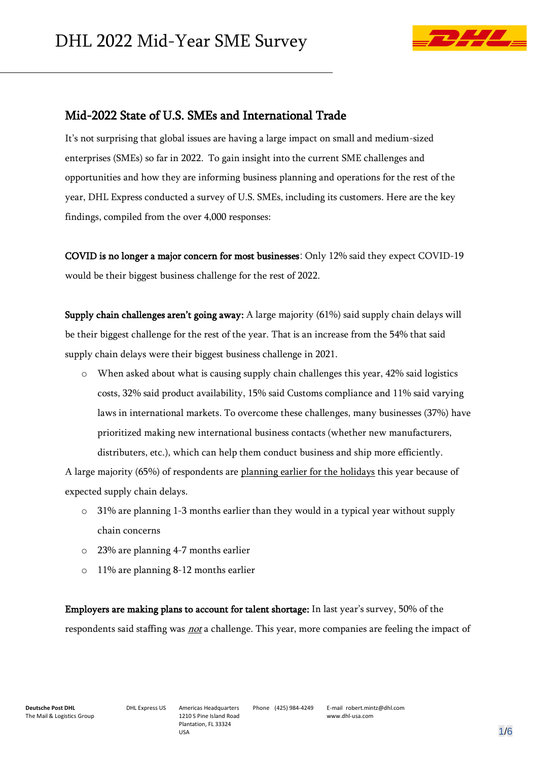I



## Mid-2022 State of U.S. SMEs and International Trade

It's not surprising that global issues are having a large impact on small and medium-sized enterprises (SMEs) so far in 2022. To gain insight into the current SME challenges and opportunities and how they are informing business planning and operations for the rest of the year, DHL Express conducted a survey of U.S. SMEs, including its customers. Here are the key findings, compiled from the over 4,000 responses:

COVID is no longer a major concern for most businesses: Only 12% said they expect COVID-19 would be their biggest business challenge for the rest of 2022.

Supply chain challenges aren't going away: A large majority (61%) said supply chain delays will be their biggest challenge for the rest of the year. That is an increase from the 54% that said supply chain delays were their biggest business challenge in 2021.

 $\circ$  When asked about what is causing supply chain challenges this year, 42% said logistics costs, 32% said product availability, 15% said Customs compliance and 11% said varying laws in international markets. To overcome these challenges, many businesses (37%) have prioritized making new international business contacts (whether new manufacturers, distributers, etc.), which can help them conduct business and ship more efficiently.

A large majority (65%) of respondents are planning earlier for the holidays this year because of expected supply chain delays.

- $\circ$  31% are planning 1-3 months earlier than they would in a typical year without supply chain concerns
- o 23% are planning 4-7 months earlier
- o 11% are planning 8-12 months earlier

Employers are making plans to account for talent shortage: In last year's survey, 50% of the respondents said staffing was *not* a challenge. This year, more companies are feeling the impact of

Phone (425) 984-4249 E-mail robert.mintz@dhl.com www.dhl-usa.com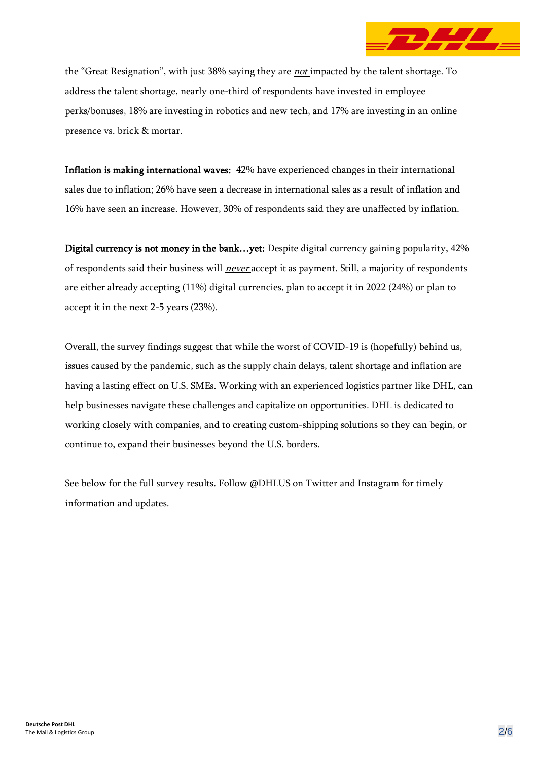

the "Great Resignation", with just 38% saying they are *not* impacted by the talent shortage. To address the talent shortage, nearly one-third of respondents have invested in employee perks/bonuses, 18% are investing in robotics and new tech, and 17% are investing in an online presence vs. brick & mortar.

Inflation is making international waves: 42% have experienced changes in their international sales due to inflation; 26% have seen a decrease in international sales as a result of inflation and 16% have seen an increase. However, 30% of respondents said they are unaffected by inflation.

Digital currency is not money in the bank...yet: Despite digital currency gaining popularity, 42% of respondents said their business will *never* accept it as payment. Still, a majority of respondents are either already accepting (11%) digital currencies, plan to accept it in 2022 (24%) or plan to accept it in the next 2-5 years (23%).

Overall, the survey findings suggest that while the worst of COVID-19 is (hopefully) behind us, issues caused by the pandemic, such as the supply chain delays, talent shortage and inflation are having a lasting effect on U.S. SMEs. Working with an experienced logistics partner like DHL, can help businesses navigate these challenges and capitalize on opportunities. DHL is dedicated to working closely with companies, and to creating custom-shipping solutions so they can begin, or continue to, expand their businesses beyond the U.S. borders.

See below for the full survey results. Follow @DHLUS on Twitter and Instagram for timely information and updates.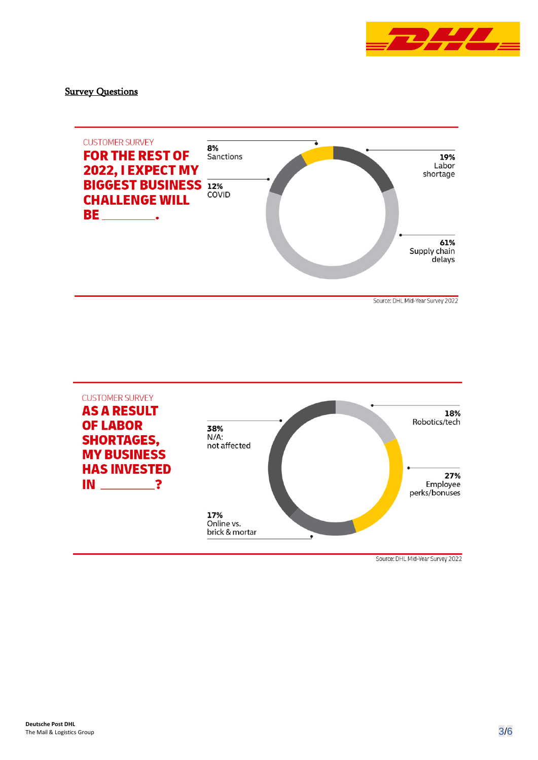

**Survey Questions** 



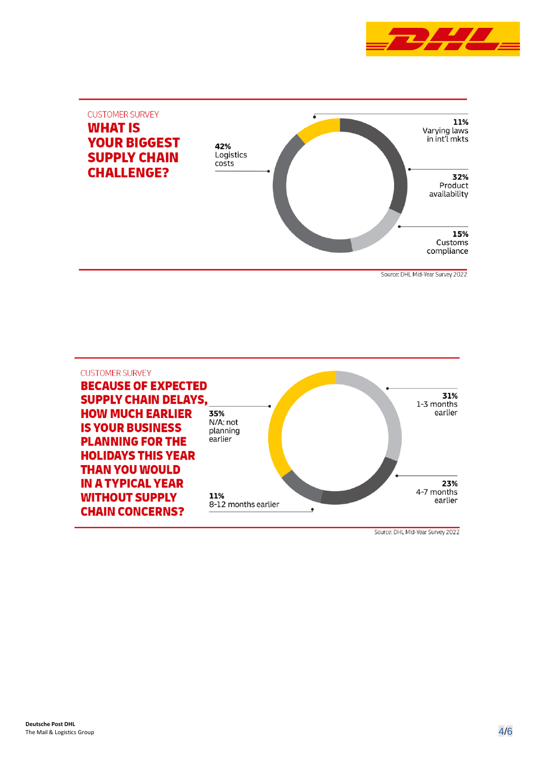



Source: DHL Mid-Year Survey 2022

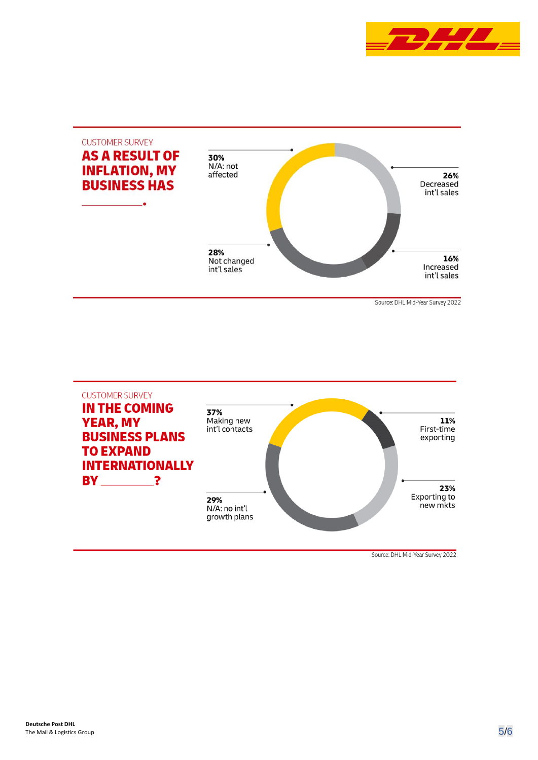